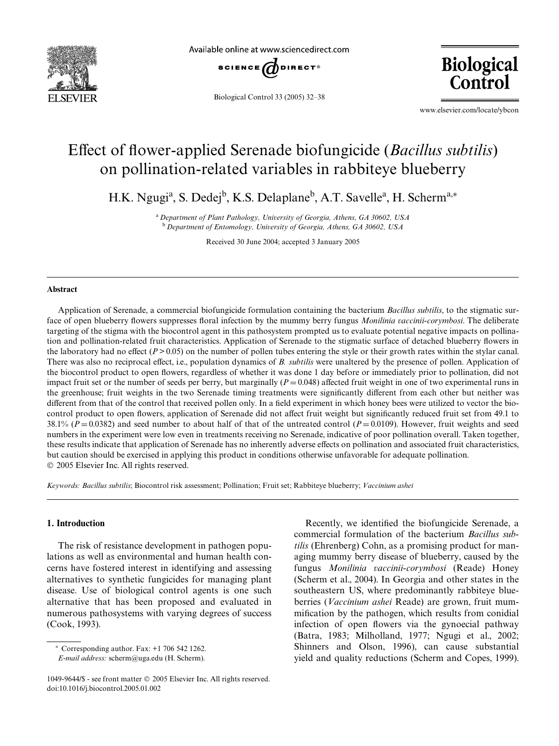

Available online at www.sciencedirect.com



Biological Control 33 (2005) 32–38

**Biological** Control

www.elsevier.com/locate/ybcon

# Effect of flower-applied Serenade biofungicide (*Bacillus subtilis*) on pollination-related variables in rabbiteye blueberry

H.K. Ngugi<sup>a</sup>, S. Dedej<sup>b</sup>, K.S. Delaplane<sup>b</sup>, A.T. Savelle<sup>a</sup>, H. Scherm<sup>a,\*</sup>

<sup>a</sup>*Department of Plant Pathology, University of Georgia, Athens, GA 30602, USA* <sup>b</sup>*Department of Entomology, University of Georgia, Athens, GA 30602, USA*

Received 30 June 2004; accepted 3 January 2005

#### **Abstract**

Application of Serenade, a commercial biofungicide formulation containing the bacterium *Bacillus subtilis*, to the stigmatic surface of open blueberry flowers suppresses floral infection by the mummy berry fungus *Monilinia vaccinii-corymbosi*. The deliberate targeting of the stigma with the biocontrol agent in this pathosystem prompted us to evaluate potential negative impacts on pollination and pollination-related fruit characteristics. Application of Serenade to the stigmatic surface of detached blueberry flowers in the laboratory had no effect ( $P > 0.05$ ) on the number of pollen tubes entering the style or their growth rates within the stylar canal. There was also no reciprocal effect, i.e., population dynamics of *B. subtilis* were unaltered by the presence of pollen. Application of the biocontrol product to open flowers, regardless of whether it was done 1 day before or immediately prior to pollination, did not impact fruit set or the number of seeds per berry, but marginally  $(P = 0.048)$  affected fruit weight in one of two experimental runs in the greenhouse; fruit weights in the two Serenade timing treatments were significantly different from each other but neither was different from that of the control that received pollen only. In a field experiment in which honey bees were utilized to vector the biocontrol product to open flowers, application of Serenade did not affect fruit weight but significantly reduced fruit set from 49.1 to 38.1% ( $P = 0.0382$ ) and seed number to about half of that of the untreated control ( $P = 0.0109$ ). However, fruit weights and seed numbers in the experiment were low even in treatments receiving no Serenade, indicative of poor pollination overall. Taken together, these results indicate that application of Serenade has no inherently adverse effects on pollination and associated fruit characteristics, but caution should be exercised in applying this product in conditions otherwise unfavorable for adequate pollination. 2005 Elsevier Inc. All rights reserved.

*Keywords: Bacillus subtilis*; Biocontrol risk assessment; Pollination; Fruit set; Rabbiteye blueberry; *Vaccinium ashei*

## **1. Introduction**

The risk of resistance development in pathogen populations as well as environmental and human health concerns have fostered interest in identifying and assessing alternatives to synthetic fungicides for managing plant disease. Use of biological control agents is one such alternative that has been proposed and evaluated in numerous pathosystems with varying degrees of success [\(Cook, 1993\)](#page-6-0).

 $*$  Corresponding author. Fax:  $+1$  706 542 1262.

Recently, we identified the biofungicide Serenade, a commercial formulation of the bacterium *Bacillus subtilis* (Ehrenberg) Cohn, as a promising product for managing mummy berry disease of blueberry, caused by the fungus *Monilinia vaccinii-corymbosi* (Reade) Honey ([Scherm et al., 2004\)](#page-6-1). In Georgia and other states in the southeastern US, where predominantly rabbiteye blueberries (*Vaccinium ashei* Reade) are grown, fruit mummification by the pathogen, which results from conidial infection of open flowers via the gynoecial pathway ([Batra, 1983; Milholland, 1977; Ngugi et al., 2002;](#page-6-2) [Shinners and Olson, 1996](#page-6-2)), can cause substantial yield and quality reductions ([Scherm and Copes, 1999](#page-6-3)).

*E-mail address:* [scherm@uga.edu](mailto: scherm@uga.edu) (H. Scherm).

<sup>1049-9644/\$ -</sup> see front matter 2005 Elsevier Inc. All rights reserved. doi:10.1016/j.biocontrol.2005.01.002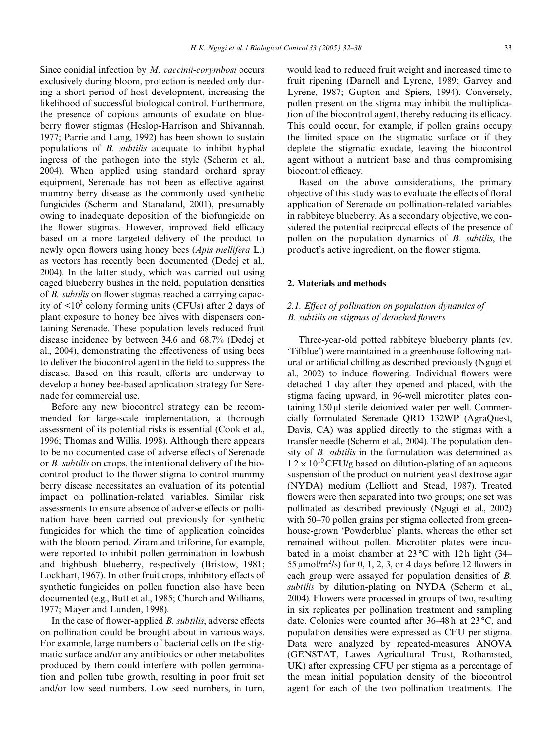Since conidial infection by *M. vaccinii-corymbosi* occurs exclusively during bloom, protection is needed only during a short period of host development, increasing the likelihood of successful biological control. Furthermore, the presence of copious amounts of exudate on blue-berry flower stigmas ([Heslop-Harrison and Shivannah,](#page-6-4) [1977; Parrie and Lang, 1992](#page-6-4)) has been shown to sustain populations of *B. subtilis* adequate to inhibit hyphal ingress of the pathogen into the style ([Scherm et al.,](#page-6-1) [2004\)](#page-6-1). When applied using standard orchard spray equipment, Serenade has not been as effective against mummy berry disease as the commonly used synthetic fungicides ([Scherm and Stanaland, 2001\)](#page-6-5), presumably owing to inadequate deposition of the biofungicide on the flower stigmas. However, improved field efficacy based on a more targeted delivery of the product to newly open flowers using honey bees (*Apis mellifera* L.) as vectors has recently been documented [\(Dedej et al.,](#page-6-6) [2004\)](#page-6-6). In the latter study, which was carried out using caged blueberry bushes in the field, population densities of *B. subtilis* on flower stigmas reached a carrying capacity of  $\langle 10^3 \text{ colony forming units}$  (CFUs) after 2 days of plant exposure to honey bee hives with dispensers containing Serenade. These population levels reduced fruit disease incidence by between 34.6 and 68.7% [\(Dedej et](#page-6-6) [al., 2004](#page-6-6)), demonstrating the effectiveness of using bees to deliver the biocontrol agent in the field to suppress the disease. Based on this result, efforts are underway to develop a honey bee-based application strategy for Serenade for commercial use.

Before any new biocontrol strategy can be recommended for large-scale implementation, a thorough assessment of its potential risks is essential [\(Cook et al.,](#page-6-7) [1996; Thomas and Willis, 1998](#page-6-7)). Although there appears to be no documented case of adverse effects of Serenade or *B. subtilis* on crops, the intentional delivery of the biocontrol product to the flower stigma to control mummy berry disease necessitates an evaluation of its potential impact on pollination-related variables. Similar risk assessments to ensure absence of adverse effects on pollination have been carried out previously for synthetic fungicides for which the time of application coincides with the bloom period. Ziram and triforine, for example, were reported to inhibit pollen germination in lowbush and highbush blueberry, respectively ([Bristow, 1981;](#page-6-8) [Lockhart, 1967\)](#page-6-8). In other fruit crops, inhibitory effects of synthetic fungicides on pollen function also have been documented (e.g., [Butt et al., 1985; Church and Williams,](#page-6-9) [1977; Mayer and Lunden, 1998\)](#page-6-9).

In the case of flower-applied *B. subtilis*, adverse effects on pollination could be brought about in various ways. For example, large numbers of bacterial cells on the stigmatic surface and/or any antibiotics or other metabolites produced by them could interfere with pollen germination and pollen tube growth, resulting in poor fruit set and/or low seed numbers. Low seed numbers, in turn, would lead to reduced fruit weight and increased time to fruit ripening [\(Darnell and Lyrene, 1989; Garvey and](#page-6-10) [Lyrene, 1987; Gupton and Spiers, 1994](#page-6-10)). Conversely, pollen present on the stigma may inhibit the multiplication of the biocontrol agent, thereby reducing its efficacy. This could occur, for example, if pollen grains occupy the limited space on the stigmatic surface or if they deplete the stigmatic exudate, leaving the biocontrol agent without a nutrient base and thus compromising biocontrol efficacy.

Based on the above considerations, the primary objective of this study was to evaluate the effects of floral application of Serenade on pollination-related variables in rabbiteye blueberry. As a secondary objective, we considered the potential reciprocal effects of the presence of pollen on the population dynamics of *B. subtilis*, the product's active ingredient, on the flower stigma.

#### **2. Materials and methods**

# 2.1. Effect of pollination on population dynamics of *B. subtilis on stigmas of detached flowers*

Three-year-old potted rabbiteye blueberry plants (cv. 'Tifblue') were maintained in a greenhouse following nat-ural or artificial chilling as described previously [\(Ngugi et](#page-6-11) [al., 2002](#page-6-11)) to induce flowering. Individual flowers were detached 1 day after they opened and placed, with the stigma facing upward, in 96-well microtiter plates containing  $150 \mu$  sterile deionized water per well. Commercially formulated Serenade QRD 132WP (AgraQuest, Davis, CA) was applied directly to the stigmas with a transfer needle [\(Scherm et al., 2004\)](#page-6-1). The population density of *B. subtilis* in the formulation was determined as  $1.2 \times 10^{10}$  CFU/g based on dilution-plating of an aqueous suspension of the product on nutrient yeast dextrose agar (NYDA) medium ([Lelliott and Stead, 1987\)](#page-6-12). Treated flowers were then separated into two groups; one set was pollinated as described previously [\(Ngugi et al., 2002](#page-6-11)) with 50–70 pollen grains per stigma collected from greenhouse-grown 'Powderblue' plants, whereas the other set remained without pollen. Microtiter plates were incubated in a moist chamber at  $23^{\circ}$ C with 12h light (34– 55  $\mu$ mol/m<sup>2</sup>/s) for 0, 1, 2, 3, or 4 days before 12 flowers in each group were assayed for population densities of *B. subtilis* by dilution-plating on NYDA ([Scherm et al.,](#page-6-1) [2004\)](#page-6-1). Flowers were processed in groups of two, resulting in six replicates per pollination treatment and sampling date. Colonies were counted after 36–48 h at 23 °C, and population densities were expressed as CFU per stigma. Data were analyzed by repeated-measures ANOVA (GENSTAT, Lawes Agricultural Trust, Rothamsted, UK) after expressing CFU per stigma as a percentage of the mean initial population density of the biocontrol agent for each of the two pollination treatments. The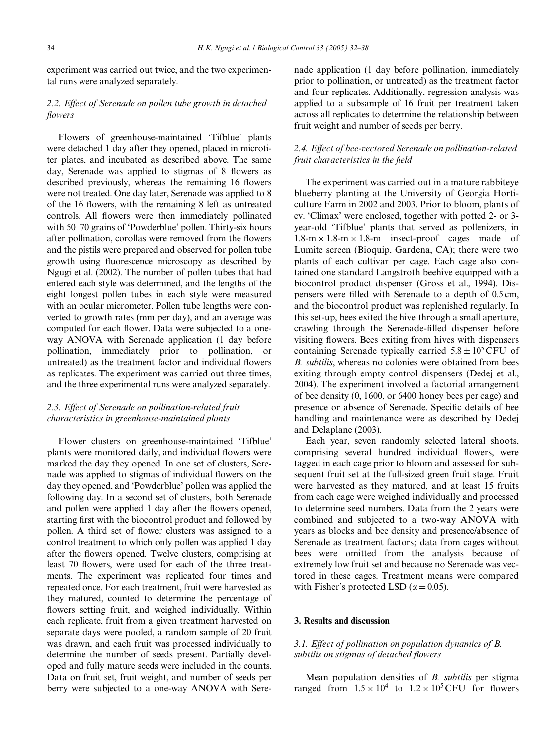experiment was carried out twice, and the two experimental runs were analyzed separately.

## 2.2. Effect of Serenade on pollen tube growth in detached *Xowers*

Flowers of greenhouse-maintained 'Tifblue' plants were detached 1 day after they opened, placed in microtiter plates, and incubated as described above. The same day, Serenade was applied to stigmas of 8 flowers as described previously, whereas the remaining 16 flowers were not treated. One day later, Serenade was applied to 8 of the 16 flowers, with the remaining 8 left as untreated controls. All flowers were then immediately pollinated with 50–70 grains of 'Powderblue' pollen. Thirty-six hours after pollination, corollas were removed from the flowers and the pistils were prepared and observed for pollen tube growth using fluorescence microscopy as described by [Ngugi et al. \(2002\)](#page-6-11). The number of pollen tubes that had entered each style was determined, and the lengths of the eight longest pollen tubes in each style were measured with an ocular micrometer. Pollen tube lengths were converted to growth rates (mm per day), and an average was computed for each flower. Data were subjected to a oneway ANOVA with Serenade application (1 day before pollination, immediately prior to pollination, or untreated) as the treatment factor and individual flowers as replicates. The experiment was carried out three times, and the three experimental runs were analyzed separately.

# 2.3. Effect of Serenade on pollination-related fruit *characteristics in greenhouse-maintained plants*

Flower clusters on greenhouse-maintained 'Tifblue' plants were monitored daily, and individual flowers were marked the day they opened. In one set of clusters, Serenade was applied to stigmas of individual flowers on the day they opened, and 'Powderblue' pollen was applied the following day. In a second set of clusters, both Serenade and pollen were applied 1 day after the flowers opened, starting first with the biocontrol product and followed by pollen. A third set of flower clusters was assigned to a control treatment to which only pollen was applied 1 day after the flowers opened. Twelve clusters, comprising at least 70 flowers, were used for each of the three treatments. The experiment was replicated four times and repeated once. For each treatment, fruit were harvested as they matured, counted to determine the percentage of flowers setting fruit, and weighed individually. Within each replicate, fruit from a given treatment harvested on separate days were pooled, a random sample of 20 fruit was drawn, and each fruit was processed individually to determine the number of seeds present. Partially developed and fully mature seeds were included in the counts. Data on fruit set, fruit weight, and number of seeds per berry were subjected to a one-way ANOVA with Serenade application (1 day before pollination, immediately prior to pollination, or untreated) as the treatment factor and four replicates. Additionally, regression analysis was applied to a subsample of 16 fruit per treatment taken across all replicates to determine the relationship between fruit weight and number of seeds per berry.

## 2.4. Effect of bee-vectored Serenade on pollination-related *fruit characteristics in the field*

The experiment was carried out in a mature rabbiteye blueberry planting at the University of Georgia Horticulture Farm in 2002 and 2003. Prior to bloom, plants of cv. 'Climax' were enclosed, together with potted 2- or 3 year-old 'Tifblue' plants that served as pollenizers, in  $1.8\text{-m} \times 1.8\text{-m} \times 1.8\text{-m}$  insect-proof cages made of Lumite screen (Bioquip, Gardena, CA); there were two plants of each cultivar per cage. Each cage also contained one standard Langstroth beehive equipped with a biocontrol product dispenser [\(Gross et al., 1994\)](#page-6-13). Dispensers were filled with Serenade to a depth of 0.5 cm, and the biocontrol product was replenished regularly. In this set-up, bees exited the hive through a small aperture, crawling through the Serenade-filled dispenser before visiting flowers. Bees exiting from hives with dispensers containing Serenade typically carried  $5.8 \pm 10^5$  CFU of *B. subtilis*, whereas no colonies were obtained from bees exiting through empty control dispensers ([Dedej et al.,](#page-6-6) [2004](#page-6-6)). The experiment involved a factorial arrangement of bee density (0, 1600, or 6400 honey bees per cage) and presence or absence of Serenade. Specific details of bee handling and maintenance were as described by [Dedej](#page-6-14) [and Delaplane \(2003\).](#page-6-14)

Each year, seven randomly selected lateral shoots, comprising several hundred individual flowers, were tagged in each cage prior to bloom and assessed for subsequent fruit set at the full-sized green fruit stage. Fruit were harvested as they matured, and at least 15 fruits from each cage were weighed individually and processed to determine seed numbers. Data from the 2 years were combined and subjected to a two-way ANOVA with years as blocks and bee density and presence/absence of Serenade as treatment factors; data from cages without bees were omitted from the analysis because of extremely low fruit set and because no Serenade was vectored in these cages. Treatment means were compared with Fisher's protected LSD ( $\alpha$  = 0.05).

#### **3. Results and discussion**

## *3.1. Effect of pollination on population dynamics of B. subtilis on stigmas of detached flowers*

Mean population densities of *B. subtilis* per stigma ranged from  $1.5 \times 10^4$  to  $1.2 \times 10^5$  CFU for flowers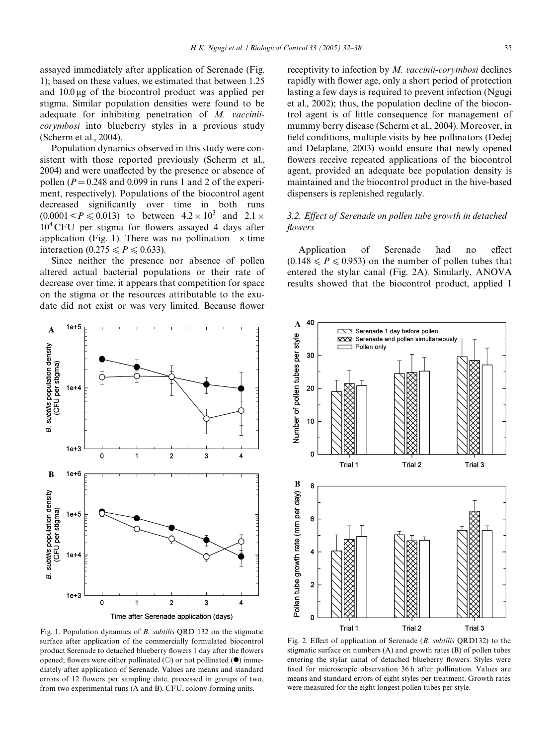assayed immediately after application of Serenade ([Fig.](#page-3-0) [1\)](#page-3-0); based on these values, we estimated that between 1.25 and 10.0 ug of the biocontrol product was applied per stigma. Similar population densities were found to be adequate for inhibiting penetration of *M. vacciniicorymbosi* into blueberry styles in a previous study ([Scherm et al., 2004\)](#page-6-1).

Population dynamics observed in this study were consistent with those reported previously [\(Scherm et al.,](#page-6-1) [2004\)](#page-6-1) and were unaffected by the presence or absence of pollen ( $P = 0.248$  and 0.099 in runs 1 and 2 of the experiment, respectively). Populations of the biocontrol agent decreased significantly over time in both runs  $(0.0001 < P \le 0.013)$  to between  $4.2 \times 10^3$  and  $2.1 \times$  $10^4$  CFU per stigma for flowers assayed 4 days after application [\(Fig. 1\)](#page-3-0). There was no pollination  $\times$  time interaction (0.275  $\leq P \leq 0.633$ ).

Since neither the presence nor absence of pollen altered actual bacterial populations or their rate of decrease over time, it appears that competition for space on the stigma or the resources attributable to the exudate did not exist or was very limited. Because flower



receptivity to infection by *M. vaccinii-corymbosi* declines rapidly with flower age, only a short period of protection lasting a few days is required to prevent infection [\(Ngugi](#page-6-11) [et al., 2002\)](#page-6-11); thus, the population decline of the biocontrol agent is of little consequence for management of mummy berry disease ([Scherm et al., 2004\)](#page-6-1). Moreover, in field conditions, multiple visits by bee pollinators [\(Dedej](#page-6-14) [and Delaplane, 2003\)](#page-6-14) would ensure that newly opened flowers receive repeated applications of the biocontrol agent, provided an adequate bee population density is maintained and the biocontrol product in the hive-based dispensers is replenished regularly.

## *3.2. Effect of Serenade on pollen tube growth in detached Xowers*

Application of Serenade had no effect  $(0.148 \le P \le 0.953)$  on the number of pollen tubes that entered the stylar canal [\(Fig. 2](#page-3-1)A). Similarly, ANOVA results showed that the biocontrol product, applied 1



<span id="page-3-0"></span>Fig. 1. Population dynamics of *B. subtilis* QRD 132 on the stigmatic surface after application of the commercially formulated biocontrol product Serenade to detached blueberry flowers 1 day after the flowers opened; flowers were either pollinated ( $\bigcirc$ ) or not pollinated ( $\bullet$ ) immediately after application of Serenade. Values are means and standard errors of 12 flowers per sampling date, processed in groups of two, from two experimental runs (A and B). CFU, colony-forming units.

<span id="page-3-1"></span>Fig. 2. Effect of application of Serenade (*B. subtilis* QRD132) to the stigmatic surface on numbers (A) and growth rates (B) of pollen tubes entering the stylar canal of detached blueberry flowers. Styles were fixed for microscopic observation 36 h after pollination. Values are means and standard errors of eight styles per treatment. Growth rates were measured for the eight longest pollen tubes per style.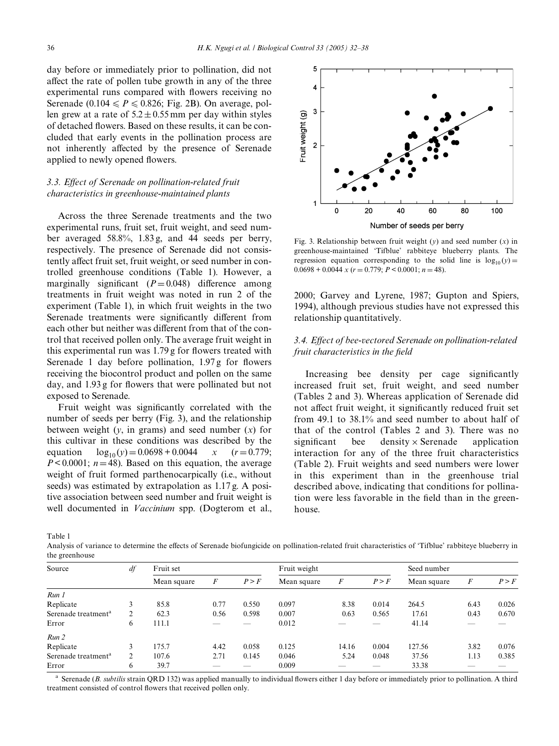day before or immediately prior to pollination, did not affect the rate of pollen tube growth in any of the three experimental runs compared with flowers receiving no Serenade (0.104  $\leq P \leq 0.826$ ; [Fig. 2](#page-3-1)B). On average, pollen grew at a rate of  $5.2 \pm 0.55$  mm per day within styles of detached flowers. Based on these results, it can be concluded that early events in the pollination process are not inherently affected by the presence of Serenade applied to newly opened flowers.

# *3.3. EVect of Serenade on pollination-related fruit characteristics in greenhouse-maintained plants*

Across the three Serenade treatments and the two experimental runs, fruit set, fruit weight, and seed number averaged 58.8%, 1.83 g, and 44 seeds per berry, respectively. The presence of Serenade did not consistently affect fruit set, fruit weight, or seed number in controlled greenhouse conditions [\(Table 1\)](#page-4-0). However, a marginally significant  $(P=0.048)$  difference among treatments in fruit weight was noted in run 2 of the experiment [\(Table 1](#page-4-0)), in which fruit weights in the two Serenade treatments were significantly different from each other but neither was different from that of the control that received pollen only. The average fruit weight in this experimental run was  $1.79$  g for flowers treated with Serenade 1 day before pollination,  $1.97\text{ g}$  for flowers receiving the biocontrol product and pollen on the same day, and 1.93 g for flowers that were pollinated but not exposed to Serenade.

Fruit weight was significantly correlated with the number of seeds per berry ([Fig. 3](#page-4-1)), and the relationship between weight (*y*, in grams) and seed number (*x*) for this cultivar in these conditions was described by the equation  $\log_{10}(y) = 0.0698 + 0.0044$  *x* (*r* = 0.779;  $P < 0.0001$ ;  $n = 48$ ). Based on this equation, the average weight of fruit formed parthenocarpically (i.e., without seeds) was estimated by extrapolation as 1.17 g. A positive association between seed number and fruit weight is well documented in *Vaccinium* spp. ([Dogterom et al.,](#page-6-15)



<span id="page-4-1"></span>Fig. 3. Relationship between fruit weight (*y*) and seed number (*x*) in greenhouse-maintained 'Tifblue' rabbiteye blueberry plants. The regression equation corresponding to the solid line is  $log_{10}(y) =$  $0.0698 + 0.0044 \times (r = 0.779; P < 0.0001; n = 48).$ 

[2000; Garvey and Lyrene, 1987; Gupton and Spiers,](#page-6-15) [1994](#page-6-15)), although previous studies have not expressed this relationship quantitatively.

## 3.4. Effect of bee-vectored Serenade on pollination-related *fruit characteristics in the field*

Increasing bee density per cage significantly increased fruit set, fruit weight, and seed number ([Tables 2 and 3\)](#page-5-0). Whereas application of Serenade did not affect fruit weight, it significantly reduced fruit set from 49.1 to 38.1% and seed number to about half of that of the control ([Tables 2 and 3](#page-5-0)). There was no significant bee density  $\times$  Serenade application interaction for any of the three fruit characteristics ([Table 2](#page-5-0)). Fruit weights and seed numbers were lower in this experiment than in the greenhouse trial described above, indicating that conditions for pollination were less favorable in the field than in the greenhouse.

<span id="page-4-0"></span>Table 1

Analysis of variance to determine the effects of Serenade biofungicide on pollination-related fruit characteristics of 'Tifblue' rabbiteye blueberry in the greenhouse

| Source                          | df | Fruit set   |      |       | Fruit weight |       |       | Seed number |      |       |
|---------------------------------|----|-------------|------|-------|--------------|-------|-------|-------------|------|-------|
|                                 |    | Mean square | F    | P > F | Mean square  | F     | P > F | Mean square | F    | P > F |
| Run 1                           |    |             |      |       |              |       |       |             |      |       |
| Replicate                       |    | 85.8        | 0.77 | 0.550 | 0.097        | 8.38  | 0.014 | 264.5       | 6.43 | 0.026 |
| Serenade treatment <sup>a</sup> |    | 62.3        | 0.56 | 0.598 | 0.007        | 0.63  | 0.565 | 17.61       | 0.43 | 0.670 |
| Error                           | 6  | 111.1       |      |       | 0.012        |       |       | 41.14       |      |       |
| Run 2                           |    |             |      |       |              |       |       |             |      |       |
| Replicate                       | 3  | 175.7       | 4.42 | 0.058 | 0.125        | 14.16 | 0.004 | 127.56      | 3.82 | 0.076 |
| Serenade treatment <sup>a</sup> |    | 107.6       | 2.71 | 0.145 | 0.046        | 5.24  | 0.048 | 37.56       | 1.13 | 0.385 |
| Error                           | 6  | 39.7        |      | _     | 0.009        |       |       | 33.38       |      |       |

<sup>a</sup> Serenade (*B. subtilis* strain ORD 132) was applied manually to individual flowers either 1 day before or immediately prior to pollination. A third treatment consisted of control flowers that received pollen only.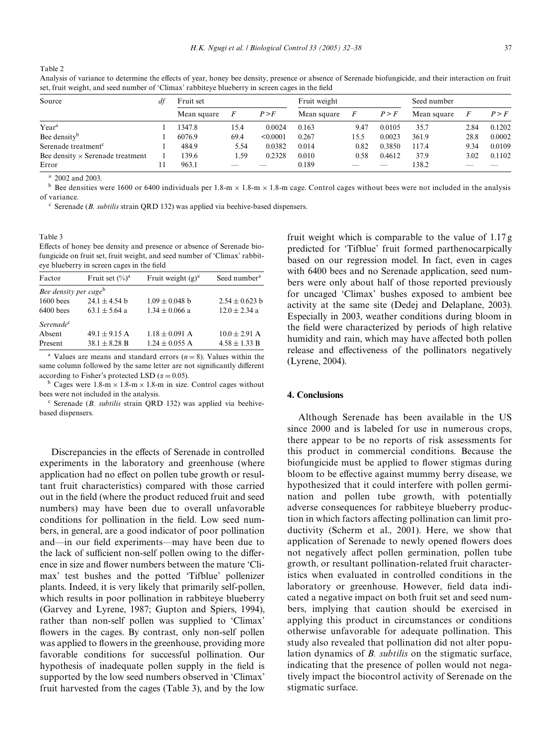<span id="page-5-0"></span>Table 2

Analysis of variance to determine the effects of year, honey bee density, presence or absence of Serenade biofungicide, and their interaction on fruit set, fruit weight, and seed number of 'Climax' rabbiteye blueberry in screen cages in the field

| Source                                  | dt | Fruit set   |          |          | Fruit weight |      |        | Seed number |      |        |
|-----------------------------------------|----|-------------|----------|----------|--------------|------|--------|-------------|------|--------|
|                                         |    | Mean square | $\bm{F}$ | P > F    | Mean square  |      | P > F  | Mean square |      | P > F  |
| Year <sup>a</sup>                       |    | 1347.8      | 15.4     | 0.0024   | 0.163        | 9.47 | 0.0105 | 35.7        | 2.84 | 0.1202 |
| Bee density <sup>b</sup>                |    | 6076.9      | 69.4     | < 0.0001 | 0.267        | 15.5 | 0.0023 | 361.9       | 28.8 | 0.0002 |
| Serenade treatment <sup>c</sup>         |    | 484.9       | 5.54     | 0.0382   | 0.014        | 0.82 | 0.3850 | 117.4       | 9.34 | 0.0109 |
| Bee density $\times$ Serenade treatment |    | 139.6       | 1.59     | 0.2328   | 0.010        | 0.58 | 0.4612 | 37.9        | 3.02 | 0.1102 |
| Error                                   |    | 963.1       |          |          | 0.189        | $-$  | __     | 138.2       |      |        |

<sup>a</sup> 2002 and 2003.

<sup>b</sup> Bee densities were 1600 or 6400 individuals per  $1.8\text{-m} \times 1.8\text{-m} \times 1.8\text{-m}$  cage. Control cages without bees were not included in the analysis of variance.

<sup>c</sup> Serenade (*B. subtilis* strain QRD 132) was applied via beehive-based dispensers.

<span id="page-5-1"></span>Table 3

Effects of honey bee density and presence or absence of Serenade biofungicide on fruit set, fruit weight, and seed number of 'Climax' rabbiteye blueberry in screen cages in the field

| Factor                            | Fruit set $(\%)^a$ | Fruit weight $(g)^a$ | Seed number <sup>a</sup> |
|-----------------------------------|--------------------|----------------------|--------------------------|
| Bee density per cage <sup>b</sup> |                    |                      |                          |
| $1600$ bees                       | $24.1 + 4.54$ b    | $1.09 \pm 0.048$ b   | $2.54 + 0.623$ b         |
| $6400$ bees                       | $63.1 \pm 5.64$ a  | $1.34 \pm 0.066$ a   | $12.0 \pm 2.34$ a        |
| Serenade <sup>c</sup>             |                    |                      |                          |
| Absent                            | $49.1 \pm 9.15$ A  | $1.18 \pm 0.091$ A   | $10.0 \pm 2.91$ A        |
| Present                           | $38.1 \pm 8.28$ B  | $1.24 \pm 0.055$ A   | $4.58 + 1.33 B$          |

<sup>a</sup> Values are means and standard errors ( $n = 8$ ). Values within the same column followed by the same letter are not significantly different according to Fisher's protected LSD ( $\alpha = 0.05$ ).

<sup>b</sup> Cages were  $1.8-m \times 1.8-m \times 1.8-m$  in size. Control cages without bees were not included in the analysis.

<sup>c</sup> Serenade (*B. subtilis* strain QRD 132) was applied via beehivebased dispensers.

Discrepancies in the effects of Serenade in controlled experiments in the laboratory and greenhouse (where application had no effect on pollen tube growth or resultant fruit characteristics) compared with those carried out in the field (where the product reduced fruit and seed numbers) may have been due to overall unfavorable conditions for pollination in the field. Low seed numbers, in general, are a good indicator of poor pollination and—in our field experiments—may have been due to the lack of sufficient non-self pollen owing to the difference in size and flower numbers between the mature 'Climax' test bushes and the potted 'Tifblue' pollenizer plants. Indeed, it is very likely that primarily self-pollen, which results in poor pollination in rabbiteye blueberry ([Garvey and Lyrene, 1987; Gupton and Spiers, 1994](#page-6-16)), rather than non-self pollen was supplied to 'Climax' flowers in the cages. By contrast, only non-self pollen was applied to flowers in the greenhouse, providing more favorable conditions for successful pollination. Our hypothesis of inadequate pollen supply in the field is supported by the low seed numbers observed in 'Climax' fruit harvested from the cages [\(Table 3](#page-5-1)), and by the low

fruit weight which is comparable to the value of 1.17 g predicted for 'Tifblue' fruit formed parthenocarpically based on our regression model. In fact, even in cages with 6400 bees and no Serenade application, seed numbers were only about half of those reported previously for uncaged 'Climax' bushes exposed to ambient bee activity at the same site ([Dedej and Delaplane, 2003\)](#page-6-14). Especially in 2003, weather conditions during bloom in the field were characterized by periods of high relative humidity and rain, which may have affected both pollen release and effectiveness of the pollinators negatively [\(Lyrene, 2004\)](#page-6-17).

#### **4. Conclusions**

Although Serenade has been available in the US since 2000 and is labeled for use in numerous crops, there appear to be no reports of risk assessments for this product in commercial conditions. Because the biofungicide must be applied to flower stigmas during bloom to be effective against mummy berry disease, we hypothesized that it could interfere with pollen germination and pollen tube growth, with potentially adverse consequences for rabbiteye blueberry production in which factors affecting pollination can limit productivity ([Scherm et al., 2001\)](#page-6-18). Here, we show that application of Serenade to newly opened flowers does not negatively affect pollen germination, pollen tube growth, or resultant pollination-related fruit characteristics when evaluated in controlled conditions in the laboratory or greenhouse. However, field data indicated a negative impact on both fruit set and seed numbers, implying that caution should be exercised in applying this product in circumstances or conditions otherwise unfavorable for adequate pollination. This study also revealed that pollination did not alter population dynamics of *B. subtilis* on the stigmatic surface, indicating that the presence of pollen would not negatively impact the biocontrol activity of Serenade on the stigmatic surface.